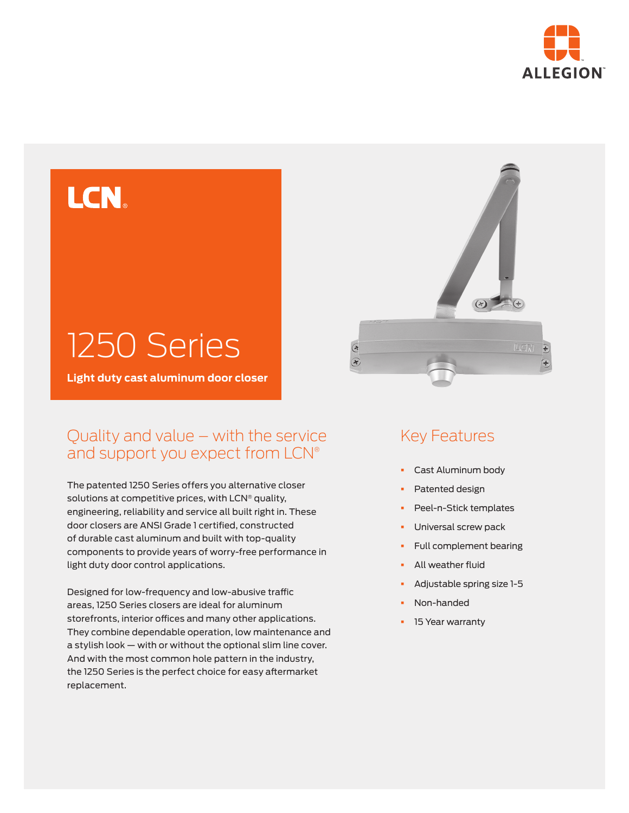



**Light duty cast aluminum door closer**

## Quality and value – with the service and support you expect from LCN®

The patented 1250 Series offers you alternative closer solutions at competitive prices, with LCN® quality, engineering, reliability and service all built right in. These door closers are ANSI Grade 1 certified, constructed of durable cast aluminum and built with top-quality components to provide years of worry-free performance in light duty door control applications.

Designed for low-frequency and low-abusive traffic areas, 1250 Series closers are ideal for aluminum storefronts, interior offices and many other applications. They combine dependable operation, low maintenance and a stylish look — with or without the optional slim line cover. And with the most common hole pattern in the industry, the 1250 Series is the perfect choice for easy aftermarket replacement.



## Key Features

- § Cast Aluminum body
- Patented design
- § Peel-n-Stick templates
- § Universal screw pack
- § Full complement bearing
- § All weather fluid
- § Adjustable spring size 1-5
- § Non-handed
- **•** 15 Year warranty